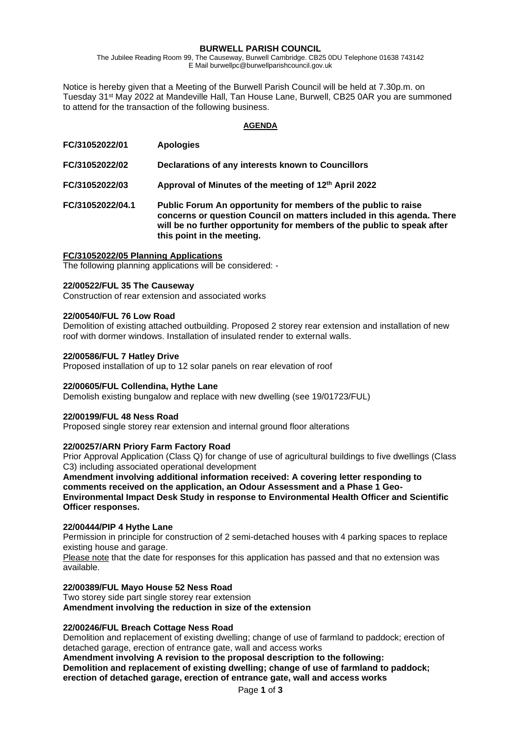## **BURWELL PARISH COUNCIL**

The Jubilee Reading Room 99, The Causeway, Burwell Cambridge. CB25 0DU Telephone 01638 743142 E Mail burwellpc@burwellparishcouncil.gov.uk

Notice is hereby given that a Meeting of the Burwell Parish Council will be held at 7.30p.m. on Tuesday 31st May 2022 at Mandeville Hall, Tan House Lane, Burwell, CB25 0AR you are summoned to attend for the transaction of the following business.

#### **AGENDA**

| FC/31052022/01   | <b>Apologies</b>                                                                                                                                                                                                                                  |
|------------------|---------------------------------------------------------------------------------------------------------------------------------------------------------------------------------------------------------------------------------------------------|
| FC/31052022/02   | Declarations of any interests known to Councillors                                                                                                                                                                                                |
| FC/31052022/03   | Approval of Minutes of the meeting of 12 <sup>th</sup> April 2022                                                                                                                                                                                 |
| FC/31052022/04.1 | Public Forum An opportunity for members of the public to raise<br>concerns or question Council on matters included in this agenda. There<br>will be no further opportunity for members of the public to speak after<br>this point in the meeting. |

## **FC/31052022/05 Planning Applications**

The following planning applications will be considered: -

### **22/00522/FUL 35 The Causeway**

Construction of rear extension and associated works

### **22/00540/FUL 76 Low Road**

Demolition of existing attached outbuilding. Proposed 2 storey rear extension and installation of new roof with dormer windows. Installation of insulated render to external walls.

### **22/00586/FUL 7 Hatley Drive**

Proposed installation of up to 12 solar panels on rear elevation of roof

## **22/00605/FUL Collendina, Hythe Lane**

Demolish existing bungalow and replace with new dwelling (see 19/01723/FUL)

## **22/00199/FUL 48 Ness Road**

Proposed single storey rear extension and internal ground floor alterations

## **22/00257/ARN Priory Farm Factory Road**

Prior Approval Application (Class Q) for change of use of agricultural buildings to five dwellings (Class C3) including associated operational development

**Amendment involving additional information received: A covering letter responding to comments received on the application, an Odour Assessment and a Phase 1 Geo-Environmental Impact Desk Study in response to Environmental Health Officer and Scientific Officer responses.**

## **22/00444/PIP 4 Hythe Lane**

Permission in principle for construction of 2 semi-detached houses with 4 parking spaces to replace existing house and garage.

Please note that the date for responses for this application has passed and that no extension was available.

### **22/00389/FUL Mayo House 52 Ness Road**

Two storey side part single storey rear extension **Amendment involving the reduction in size of the extension**

## **22/00246/FUL Breach Cottage Ness Road**

Demolition and replacement of existing dwelling; change of use of farmland to paddock; erection of detached garage, erection of entrance gate, wall and access works

**Amendment involving A revision to the proposal description to the following: Demolition and replacement of existing dwelling; change of use of farmland to paddock; erection of detached garage, erection of entrance gate, wall and access works**

Page **1** of **3**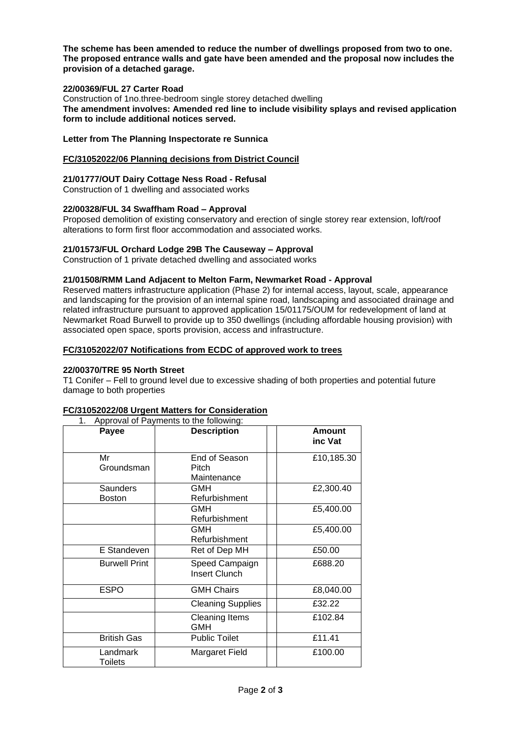**The scheme has been amended to reduce the number of dwellings proposed from two to one. The proposed entrance walls and gate have been amended and the proposal now includes the provision of a detached garage.**

# **22/00369/FUL 27 Carter Road**

Construction of 1no.three-bedroom single storey detached dwelling **The amendment involves: Amended red line to include visibility splays and revised application form to include additional notices served.**

# **Letter from The Planning Inspectorate re Sunnica**

# **FC/31052022/06 Planning decisions from District Council**

## **21/01777/OUT Dairy Cottage Ness Road - Refusal**

Construction of 1 dwelling and associated works

## **22/00328/FUL 34 Swaffham Road – Approval**

Proposed demolition of existing conservatory and erection of single storey rear extension, loft/roof alterations to form first floor accommodation and associated works.

# **21/01573/FUL Orchard Lodge 29B The Causeway – Approval**

Construction of 1 private detached dwelling and associated works

# **21/01508/RMM Land Adjacent to Melton Farm, Newmarket Road - Approval**

Reserved matters infrastructure application (Phase 2) for internal access, layout, scale, appearance and landscaping for the provision of an internal spine road, landscaping and associated drainage and related infrastructure pursuant to approved application 15/01175/OUM for redevelopment of land at Newmarket Road Burwell to provide up to 350 dwellings (including affordable housing provision) with associated open space, sports provision, access and infrastructure.

# **FC/31052022/07 Notifications from ECDC of approved work to trees**

## **22/00370/TRE 95 North Street**

T1 Conifer – Fell to ground level due to excessive shading of both properties and potential future damage to both properties

## **FC/31052022/08 Urgent Matters for Consideration**

| Payee                     | <b>Description</b>                    | Amount<br>inc Vat |
|---------------------------|---------------------------------------|-------------------|
| Mr<br>Groundsman          | End of Season<br>Pitch<br>Maintenance | £10,185.30        |
| Saunders<br><b>Boston</b> | <b>GMH</b><br>Refurbishment           | £2,300.40         |
|                           | <b>GMH</b><br>Refurbishment           | £5,400.00         |
|                           | <b>GMH</b><br>Refurbishment           | £5,400.00         |
| E Standeven               | Ret of Dep MH                         | £50.00            |
| <b>Burwell Print</b>      | Speed Campaign<br>Insert Clunch       | £688.20           |
| <b>ESPO</b>               | <b>GMH Chairs</b>                     | £8,040.00         |
|                           | <b>Cleaning Supplies</b>              | £32.22            |
|                           | <b>Cleaning Items</b><br>GMH          | £102.84           |
| <b>British Gas</b>        | <b>Public Toilet</b>                  | £11.41            |
| Landmark<br>Toilets       | Margaret Field                        | £100.00           |